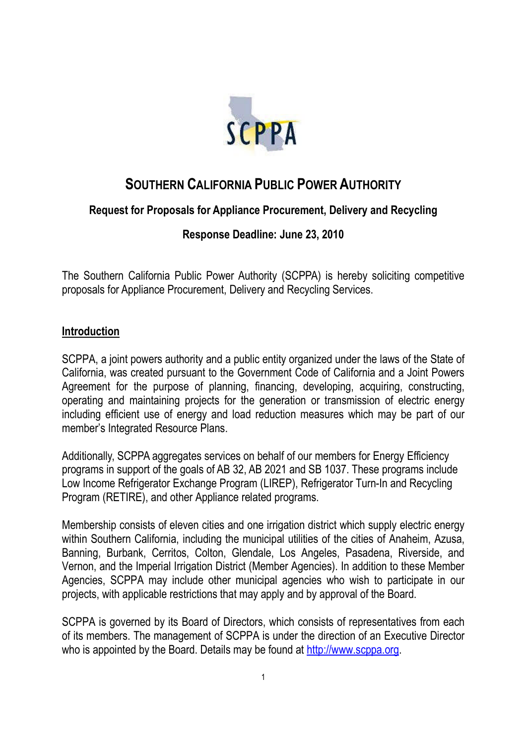

# **SOUTHERN CALIFORNIA PUBLIC POWER AUTHORITY**

## **Request for Proposals for Appliance Procurement, Delivery and Recycling**

## **Response Deadline: June 23, 2010**

The Southern California Public Power Authority (SCPPA) is hereby soliciting competitive proposals for Appliance Procurement, Delivery and Recycling Services.

## **Introduction**

SCPPA, a joint powers authority and a public entity organized under the laws of the State of California, was created pursuant to the Government Code of California and a Joint Powers Agreement for the purpose of planning, financing, developing, acquiring, constructing, operating and maintaining projects for the generation or transmission of electric energy including efficient use of energy and load reduction measures which may be part of our member's Integrated Resource Plans.

Additionally, SCPPA aggregates services on behalf of our members for Energy Efficiency programs in support of the goals of AB 32, AB 2021 and SB 1037. These programs include Low Income Refrigerator Exchange Program (LIREP), Refrigerator Turn-In and Recycling Program (RETIRE), and other Appliance related programs.

Membership consists of eleven cities and one irrigation district which supply electric energy within Southern California, including the municipal utilities of the cities of Anaheim, Azusa, Banning, Burbank, Cerritos, Colton, Glendale, Los Angeles, Pasadena, Riverside, and Vernon, and the Imperial Irrigation District (Member Agencies). In addition to these Member Agencies, SCPPA may include other municipal agencies who wish to participate in our projects, with applicable restrictions that may apply and by approval of the Board.

SCPPA is governed by its Board of Directors, which consists of representatives from each of its members. The management of SCPPA is under the direction of an Executive Director who is appointed by the Board. Details may be found at http://www.scppa.org.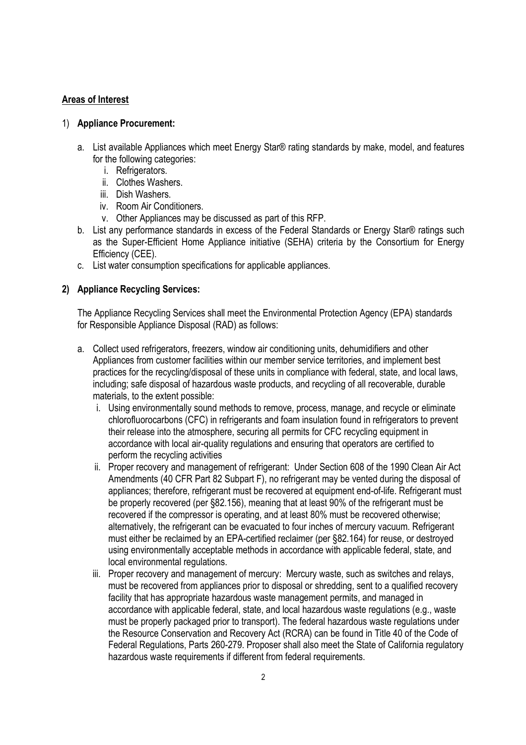## **Areas of Interest**

#### 1) **Appliance Procurement:**

- a. List available Appliances which meet Energy Star® rating standards by make, model, and features for the following categories:
	- i. Refrigerators.
	- ii. Clothes Washers.
	- iii. Dish Washers.
	- iv. Room Air Conditioners.
	- v. Other Appliances may be discussed as part of this RFP.
- b. List any performance standards in excess of the Federal Standards or Energy Star® ratings such as the Super-Efficient Home Appliance initiative (SEHA) criteria by the Consortium for Energy Efficiency (CEE).
- c. List water consumption specifications for applicable appliances.

## **2) Appliance Recycling Services:**

The Appliance Recycling Services shall meet the Environmental Protection Agency (EPA) standards for Responsible Appliance Disposal (RAD) as follows:

- a. Collect used refrigerators, freezers, window air conditioning units, dehumidifiers and other Appliances from customer facilities within our member service territories, and implement best practices for the recycling/disposal of these units in compliance with federal, state, and local laws, including; safe disposal of hazardous waste products, and recycling of all recoverable, durable materials, to the extent possible:
	- i. Using environmentally sound methods to remove, process, manage, and recycle or eliminate chlorofluorocarbons (CFC) in refrigerants and foam insulation found in refrigerators to prevent their release into the atmosphere, securing all permits for CFC recycling equipment in accordance with local air-quality regulations and ensuring that operators are certified to perform the recycling activities
	- ii. Proper recovery and management of refrigerant: Under Section 608 of the 1990 Clean Air Act Amendments (40 CFR Part 82 Subpart F), no refrigerant may be vented during the disposal of appliances; therefore, refrigerant must be recovered at equipment end-of-life. Refrigerant must be properly recovered (per §82.156), meaning that at least 90% of the refrigerant must be recovered if the compressor is operating, and at least 80% must be recovered otherwise; alternatively, the refrigerant can be evacuated to four inches of mercury vacuum. Refrigerant must either be reclaimed by an EPA-certified reclaimer (per §82.164) for reuse, or destroyed using environmentally acceptable methods in accordance with applicable federal, state, and local environmental regulations.
	- iii. Proper recovery and management of mercury: Mercury waste, such as switches and relays, must be recovered from appliances prior to disposal or shredding, sent to a qualified recovery facility that has appropriate hazardous waste management permits, and managed in accordance with applicable federal, state, and local hazardous waste regulations (e.g., waste must be properly packaged prior to transport). The federal hazardous waste regulations under the Resource Conservation and Recovery Act (RCRA) can be found in Title 40 of the Code of Federal Regulations, Parts 260-279. Proposer shall also meet the State of California regulatory hazardous waste requirements if different from federal requirements.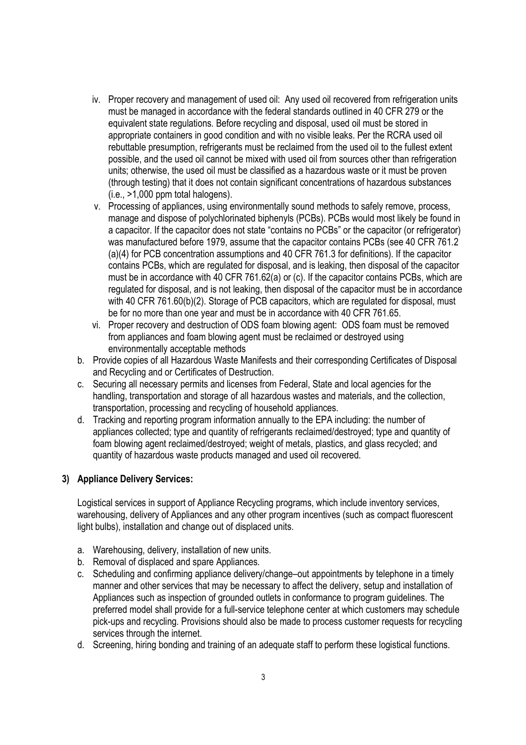- iv. Proper recovery and management of used oil: Any used oil recovered from refrigeration units must be managed in accordance with the federal standards outlined in 40 CFR 279 or the equivalent state regulations. Before recycling and disposal, used oil must be stored in appropriate containers in good condition and with no visible leaks. Per the RCRA used oil rebuttable presumption, refrigerants must be reclaimed from the used oil to the fullest extent possible, and the used oil cannot be mixed with used oil from sources other than refrigeration units; otherwise, the used oil must be classified as a hazardous waste or it must be proven (through testing) that it does not contain significant concentrations of hazardous substances (i.e., >1,000 ppm total halogens).
- v. Processing of appliances, using environmentally sound methods to safely remove, process, manage and dispose of polychlorinated biphenyls (PCBs). PCBs would most likely be found in a capacitor. If the capacitor does not state "contains no PCBs" or the capacitor (or refrigerator) was manufactured before 1979, assume that the capacitor contains PCBs (see 40 CFR 761.2 (a)(4) for PCB concentration assumptions and 40 CFR 761.3 for definitions). If the capacitor contains PCBs, which are regulated for disposal, and is leaking, then disposal of the capacitor must be in accordance with 40 CFR 761.62(a) or (c). If the capacitor contains PCBs, which are regulated for disposal, and is not leaking, then disposal of the capacitor must be in accordance with 40 CFR 761.60(b)(2). Storage of PCB capacitors, which are regulated for disposal, must be for no more than one year and must be in accordance with 40 CFR 761.65.
- vi. Proper recovery and destruction of ODS foam blowing agent: ODS foam must be removed from appliances and foam blowing agent must be reclaimed or destroyed using environmentally acceptable methods
- b. Provide copies of all Hazardous Waste Manifests and their corresponding Certificates of Disposal and Recycling and or Certificates of Destruction.
- c. Securing all necessary permits and licenses from Federal, State and local agencies for the handling, transportation and storage of all hazardous wastes and materials, and the collection, transportation, processing and recycling of household appliances.
- d. Tracking and reporting program information annually to the EPA including: the number of appliances collected; type and quantity of refrigerants reclaimed/destroyed; type and quantity of foam blowing agent reclaimed/destroyed; weight of metals, plastics, and glass recycled; and quantity of hazardous waste products managed and used oil recovered.

### **3) Appliance Delivery Services:**

Logistical services in support of Appliance Recycling programs, which include inventory services, warehousing, delivery of Appliances and any other program incentives (such as compact fluorescent light bulbs), installation and change out of displaced units.

- a. Warehousing, delivery, installation of new units.
- b. Removal of displaced and spare Appliances.
- c. Scheduling and confirming appliance delivery/change–out appointments by telephone in a timely manner and other services that may be necessary to affect the delivery, setup and installation of Appliances such as inspection of grounded outlets in conformance to program guidelines. The preferred model shall provide for a full-service telephone center at which customers may schedule pick-ups and recycling. Provisions should also be made to process customer requests for recycling services through the internet.
- d. Screening, hiring bonding and training of an adequate staff to perform these logistical functions.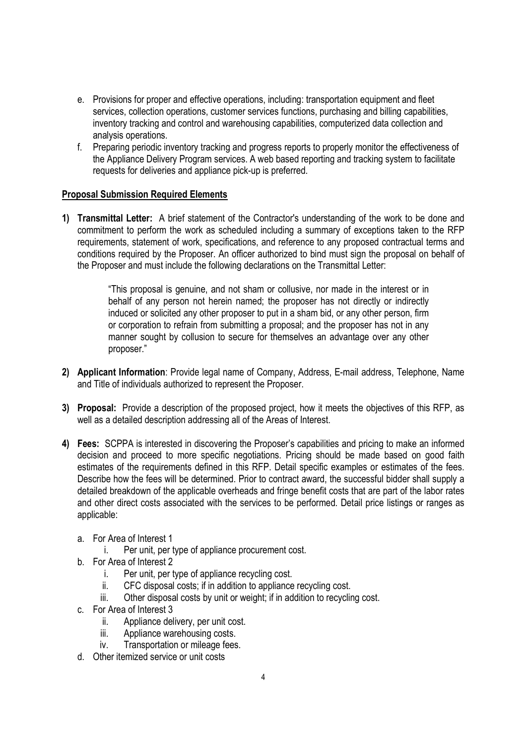- e. Provisions for proper and effective operations, including: transportation equipment and fleet services, collection operations, customer services functions, purchasing and billing capabilities, inventory tracking and control and warehousing capabilities, computerized data collection and analysis operations.
- f. Preparing periodic inventory tracking and progress reports to properly monitor the effectiveness of the Appliance Delivery Program services. A web based reporting and tracking system to facilitate requests for deliveries and appliance pick-up is preferred.

## **Proposal Submission Required Elements**

**1) Transmittal Letter:** A brief statement of the Contractor's understanding of the work to be done and commitment to perform the work as scheduled including a summary of exceptions taken to the RFP requirements, statement of work, specifications, and reference to any proposed contractual terms and conditions required by the Proposer. An officer authorized to bind must sign the proposal on behalf of the Proposer and must include the following declarations on the Transmittal Letter:

> "This proposal is genuine, and not sham or collusive, nor made in the interest or in behalf of any person not herein named; the proposer has not directly or indirectly induced or solicited any other proposer to put in a sham bid, or any other person, firm or corporation to refrain from submitting a proposal; and the proposer has not in any manner sought by collusion to secure for themselves an advantage over any other proposer."

- **2) Applicant Information**: Provide legal name of Company, Address, E-mail address, Telephone, Name and Title of individuals authorized to represent the Proposer.
- **3) Proposal:** Provide a description of the proposed project, how it meets the objectives of this RFP, as well as a detailed description addressing all of the Areas of Interest.
- **4) Fees:** SCPPA is interested in discovering the Proposer's capabilities and pricing to make an informed decision and proceed to more specific negotiations. Pricing should be made based on good faith estimates of the requirements defined in this RFP. Detail specific examples or estimates of the fees. Describe how the fees will be determined. Prior to contract award, the successful bidder shall supply a detailed breakdown of the applicable overheads and fringe benefit costs that are part of the labor rates and other direct costs associated with the services to be performed. Detail price listings or ranges as applicable:
	- a. For Area of Interest 1
		- i. Per unit, per type of appliance procurement cost.
	- b. For Area of Interest 2
		- i. Per unit, per type of appliance recycling cost.
		- ii. CFC disposal costs; if in addition to appliance recycling cost.
		- iii. Other disposal costs by unit or weight; if in addition to recycling cost.
	- c. For Area of Interest 3
		- ii. Appliance delivery, per unit cost.
		- iii. Appliance warehousing costs.
		- iv. Transportation or mileage fees.
	- d. Other itemized service or unit costs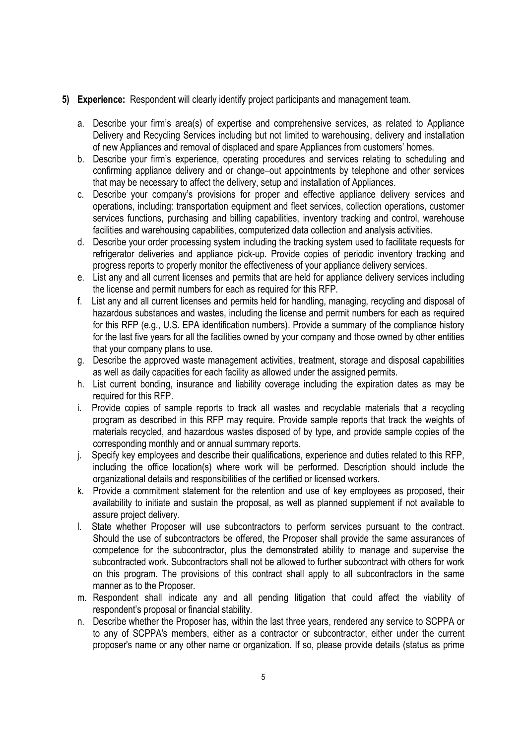## **5) Experience:** Respondent will clearly identify project participants and management team.

- a. Describe your firm's area(s) of expertise and comprehensive services, as related to Appliance Delivery and Recycling Services including but not limited to warehousing, delivery and installation of new Appliances and removal of displaced and spare Appliances from customers' homes.
- b. Describe your firm's experience, operating procedures and services relating to scheduling and confirming appliance delivery and or change–out appointments by telephone and other services that may be necessary to affect the delivery, setup and installation of Appliances.
- c. Describe your company's provisions for proper and effective appliance delivery services and operations, including: transportation equipment and fleet services, collection operations, customer services functions, purchasing and billing capabilities, inventory tracking and control, warehouse facilities and warehousing capabilities, computerized data collection and analysis activities.
- d. Describe your order processing system including the tracking system used to facilitate requests for refrigerator deliveries and appliance pick-up. Provide copies of periodic inventory tracking and progress reports to properly monitor the effectiveness of your appliance delivery services.
- e. List any and all current licenses and permits that are held for appliance delivery services including the license and permit numbers for each as required for this RFP.
- f. List any and all current licenses and permits held for handling, managing, recycling and disposal of hazardous substances and wastes, including the license and permit numbers for each as required for this RFP (e.g., U.S. EPA identification numbers). Provide a summary of the compliance history for the last five years for all the facilities owned by your company and those owned by other entities that your company plans to use.
- g. Describe the approved waste management activities, treatment, storage and disposal capabilities as well as daily capacities for each facility as allowed under the assigned permits.
- h. List current bonding, insurance and liability coverage including the expiration dates as may be required for this RFP.
- i. Provide copies of sample reports to track all wastes and recyclable materials that a recycling program as described in this RFP may require. Provide sample reports that track the weights of materials recycled, and hazardous wastes disposed of by type, and provide sample copies of the corresponding monthly and or annual summary reports.
- j. Specify key employees and describe their qualifications, experience and duties related to this RFP, including the office location(s) where work will be performed. Description should include the organizational details and responsibilities of the certified or licensed workers.
- k. Provide a commitment statement for the retention and use of key employees as proposed, their availability to initiate and sustain the proposal, as well as planned supplement if not available to assure project delivery.
- l. State whether Proposer will use subcontractors to perform services pursuant to the contract. Should the use of subcontractors be offered, the Proposer shall provide the same assurances of competence for the subcontractor, plus the demonstrated ability to manage and supervise the subcontracted work. Subcontractors shall not be allowed to further subcontract with others for work on this program. The provisions of this contract shall apply to all subcontractors in the same manner as to the Proposer.
- m. Respondent shall indicate any and all pending litigation that could affect the viability of respondent's proposal or financial stability.
- n. Describe whether the Proposer has, within the last three years, rendered any service to SCPPA or to any of SCPPA's members, either as a contractor or subcontractor, either under the current proposer's name or any other name or organization. If so, please provide details (status as prime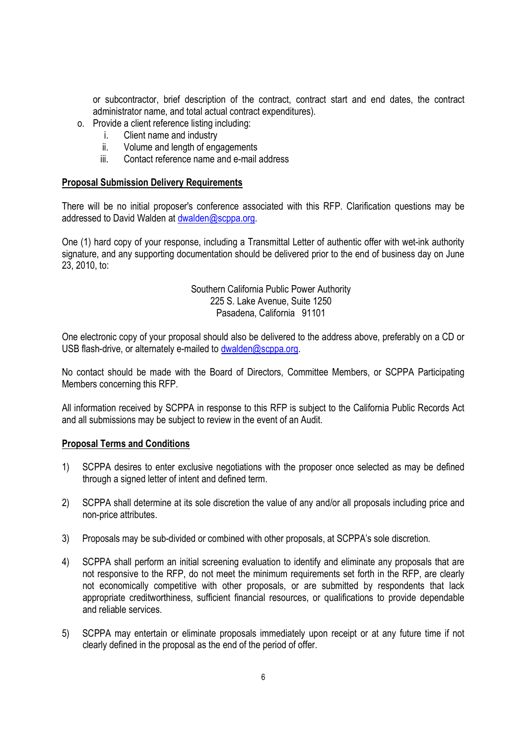or subcontractor, brief description of the contract, contract start and end dates, the contract administrator name, and total actual contract expenditures).

- o. Provide a client reference listing including:
	- i. Client name and industry
	- ii. Volume and length of engagements
	- iii. Contact reference name and e-mail address

#### **Proposal Submission Delivery Requirements**

There will be no initial proposer's conference associated with this RFP. Clarification questions may be addressed to David Walden at dwalden@scppa.org.

One (1) hard copy of your response, including a Transmittal Letter of authentic offer with wet-ink authority signature, and any supporting documentation should be delivered prior to the end of business day on June 23, 2010, to:

#### Southern California Public Power Authority 225 S. Lake Avenue, Suite 1250 Pasadena, California 91101

One electronic copy of your proposal should also be delivered to the address above, preferably on a CD or USB flash-drive, or alternately e-mailed to dwalden@scppa.org.

No contact should be made with the Board of Directors, Committee Members, or SCPPA Participating Members concerning this RFP.

All information received by SCPPA in response to this RFP is subject to the California Public Records Act and all submissions may be subject to review in the event of an Audit.

#### **Proposal Terms and Conditions**

- 1) SCPPA desires to enter exclusive negotiations with the proposer once selected as may be defined through a signed letter of intent and defined term.
- 2) SCPPA shall determine at its sole discretion the value of any and/or all proposals including price and non-price attributes.
- 3) Proposals may be sub-divided or combined with other proposals, at SCPPA's sole discretion.
- 4) SCPPA shall perform an initial screening evaluation to identify and eliminate any proposals that are not responsive to the RFP, do not meet the minimum requirements set forth in the RFP, are clearly not economically competitive with other proposals, or are submitted by respondents that lack appropriate creditworthiness, sufficient financial resources, or qualifications to provide dependable and reliable services.
- 5) SCPPA may entertain or eliminate proposals immediately upon receipt or at any future time if not clearly defined in the proposal as the end of the period of offer.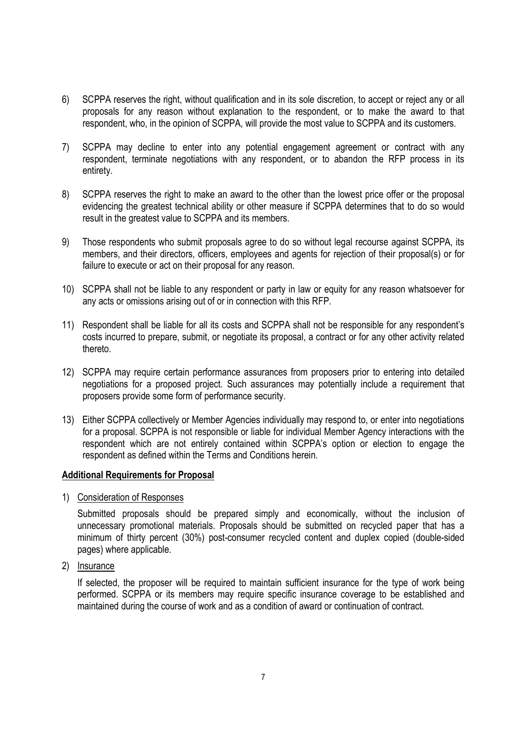- 6) SCPPA reserves the right, without qualification and in its sole discretion, to accept or reject any or all proposals for any reason without explanation to the respondent, or to make the award to that respondent, who, in the opinion of SCPPA, will provide the most value to SCPPA and its customers.
- 7) SCPPA may decline to enter into any potential engagement agreement or contract with any respondent, terminate negotiations with any respondent, or to abandon the RFP process in its entirety.
- 8) SCPPA reserves the right to make an award to the other than the lowest price offer or the proposal evidencing the greatest technical ability or other measure if SCPPA determines that to do so would result in the greatest value to SCPPA and its members.
- 9) Those respondents who submit proposals agree to do so without legal recourse against SCPPA, its members, and their directors, officers, employees and agents for rejection of their proposal(s) or for failure to execute or act on their proposal for any reason.
- 10) SCPPA shall not be liable to any respondent or party in law or equity for any reason whatsoever for any acts or omissions arising out of or in connection with this RFP.
- 11) Respondent shall be liable for all its costs and SCPPA shall not be responsible for any respondent's costs incurred to prepare, submit, or negotiate its proposal, a contract or for any other activity related thereto.
- 12) SCPPA may require certain performance assurances from proposers prior to entering into detailed negotiations for a proposed project. Such assurances may potentially include a requirement that proposers provide some form of performance security.
- 13) Either SCPPA collectively or Member Agencies individually may respond to, or enter into negotiations for a proposal. SCPPA is not responsible or liable for individual Member Agency interactions with the respondent which are not entirely contained within SCPPA's option or election to engage the respondent as defined within the Terms and Conditions herein.

#### **Additional Requirements for Proposal**

1) Consideration of Responses

Submitted proposals should be prepared simply and economically, without the inclusion of unnecessary promotional materials. Proposals should be submitted on recycled paper that has a minimum of thirty percent (30%) post-consumer recycled content and duplex copied (double-sided pages) where applicable.

2) Insurance

If selected, the proposer will be required to maintain sufficient insurance for the type of work being performed. SCPPA or its members may require specific insurance coverage to be established and maintained during the course of work and as a condition of award or continuation of contract.